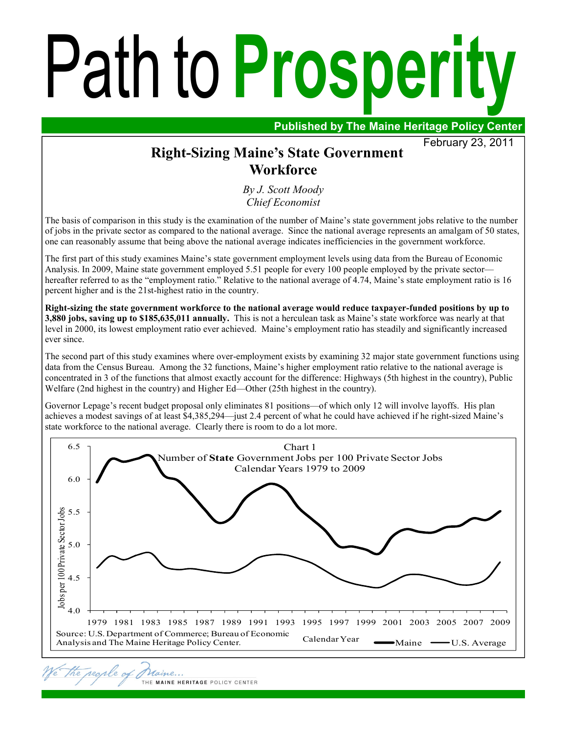# Path to **Prosperity**

**Published by The Maine Heritage Policy Center** 

February 23, 2011

# **Right-Sizing Maine's State Government Workforce**

*By J. Scott Moody Chief Economist*

The basis of comparison in this study is the examination of the number of Maine's state government jobs relative to the number of jobs in the private sector as compared to the national average. Since the national average represents an amalgam of 50 states, one can reasonably assume that being above the national average indicates inefficiencies in the government workforce.

The first part of this study examines Maine's state government employment levels using data from the Bureau of Economic Analysis. In 2009, Maine state government employed 5.51 people for every 100 people employed by the private sector hereafter referred to as the "employment ratio." Relative to the national average of 4.74, Maine's state employment ratio is 16 percent higher and is the 21st-highest ratio in the country.

**Right-sizing the state government workforce to the national average would reduce taxpayer-funded positions by up to 3,880 jobs, saving up to \$185,635,011 annually.** This is not a herculean task as Maine's state workforce was nearly at that level in 2000, its lowest employment ratio ever achieved. Maine's employment ratio has steadily and significantly increased ever since.

The second part of this study examines where over-employment exists by examining 32 major state government functions using data from the Census Bureau. Among the 32 functions, Maine's higher employment ratio relative to the national average is concentrated in 3 of the functions that almost exactly account for the difference: Highways (5th highest in the country), Public Welfare (2nd highest in the country) and Higher Ed—Other (25th highest in the country).

Governor Lepage's recent budget proposal only eliminates 81 positions—of which only 12 will involve layoffs. His plan achieves a modest savings of at least \$4,385,294—just 2.4 percent of what he could have achieved if he right-sized Maine's state workforce to the national average. Clearly there is room to do a lot more.



rearle o

Maine.

THE MAINE HERITAGE POLICY CENTER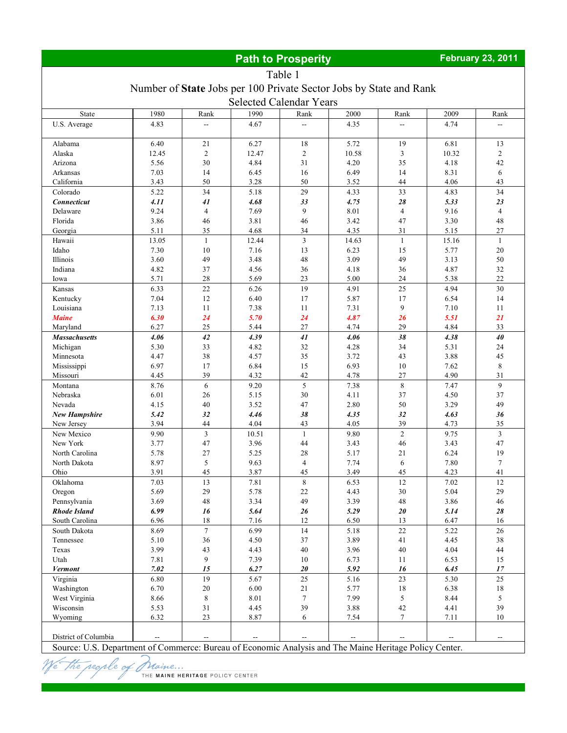# **Path to Prosperity** *February 23, 2011*

# Table 1

#### Number of **State** Jobs per 100 Private Sector Jobs by State and Rank

| Selected Calendar Years |       |                          |          |                          |        |                          |       |                          |  |
|-------------------------|-------|--------------------------|----------|--------------------------|--------|--------------------------|-------|--------------------------|--|
| State                   | 1980  | Rank                     | 1990     | Rank                     | 2000   | Rank                     | 2009  | Rank                     |  |
| U.S. Average            | 4.83  | $\overline{\phantom{a}}$ | 4.67     |                          | 4.35   |                          | 4.74  |                          |  |
| Alabama                 | 6.40  | 21                       | 6.27     | 18                       | 5.72   | 19                       | 6.81  | 13                       |  |
| Alaska                  | 12.45 | $\overline{2}$           | 12.47    | $\overline{2}$           | 10.58  | 3                        | 10.32 | $\overline{2}$           |  |
| Arizona                 | 5.56  | 30                       | 4.84     | 31                       | 4.20   | 35                       | 4.18  | 42                       |  |
| Arkansas                | 7.03  | 14                       | 6.45     | 16                       | 6.49   | 14                       | 8.31  | 6                        |  |
| California              | 3.43  | 50                       | 3.28     | 50                       | 3.52   | 44                       | 4.06  | 43                       |  |
| Colorado                | 5.22  | 34                       | 5.18     | 29                       | 4.33   | 33                       | 4.83  | 34                       |  |
| Connecticut             | 4.11  | 41                       | 4.68     | 33                       | 4.75   | 28                       | 5.33  | 23                       |  |
| Delaware                | 9.24  | $\overline{4}$           | 7.69     | 9                        | 8.01   | $\overline{4}$           | 9.16  | $\overline{4}$           |  |
| Florida                 | 3.86  | 46                       | 3.81     | 46                       | 3.42   | 47                       | 3.30  | 48                       |  |
| Georgia                 | 5.11  | 35                       | 4.68     | 34                       | 4.35   | 31                       | 5.15  | 27                       |  |
| Hawaii                  | 13.05 | $\mathbf{1}$             | 12.44    | $\mathfrak{Z}$           | 14.63  | $\mathbf{1}$             | 15.16 | $\mathbf{1}$             |  |
| Idaho                   | 7.30  | 10                       | 7.16     | 13                       | 6.23   | 15                       | 5.77  | $20\,$                   |  |
| Illinois                | 3.60  | 49                       | 3.48     | 48                       | 3.09   | 49                       | 3.13  | 50                       |  |
| Indiana                 | 4.82  | 37                       | 4.56     | 36                       | 4.18   | 36                       | 4.87  | 32                       |  |
| Iowa                    | 5.71  | $28\,$                   | 5.69     | 23                       | 5.00   | 24                       | 5.38  | 22                       |  |
| Kansas                  | 6.33  | $22\,$                   | 6.26     | 19                       | 4.91   | 25                       | 4.94  | 30                       |  |
| Kentucky                | 7.04  | 12                       | 6.40     | 17                       | 5.87   | 17                       | 6.54  | 14                       |  |
| Louisiana               | 7.13  | 11                       | 7.38     | 11                       | 7.31   | 9                        | 7.10  | 11                       |  |
| <b>Maine</b>            | 6.30  | 24                       | 5.70     | 24                       | 4.87   | 26                       | 5.51  | 21                       |  |
| Maryland                | 6.27  | 25                       | 5.44     | 27                       | 4.74   | 29                       | 4.84  | 33                       |  |
| <b>Massachusetts</b>    | 4.06  | 42                       | 4.39     | 41                       | 4.06   | 38                       | 4.38  | 40                       |  |
| Michigan                | 5.30  | 33                       | 4.82     | 32                       | 4.28   | 34                       | 5.31  | 24                       |  |
| Minnesota               | 4.47  | 38                       | 4.57     | 35                       | 3.72   | 43                       | 3.88  | 45                       |  |
| Mississippi             | 6.97  | 17                       | 6.84     | 15                       | 6.93   | 10                       | 7.62  | $\,8\,$                  |  |
| Missouri                | 4.45  | 39                       | 4.32     | 42                       | 4.78   | 27                       | 4.90  | 31                       |  |
| Montana                 | 8.76  | 6                        | 9.20     | 5                        | 7.38   | $\,8\,$                  | 7.47  | 9                        |  |
| Nebraska                | 6.01  | 26                       | 5.15     | 30                       | 4.11   | 37                       | 4.50  | 37                       |  |
| Nevada                  | 4.15  | 40                       | 3.52     | 47                       | 2.80   | 50                       | 3.29  | 49                       |  |
| <b>New Hampshire</b>    | 5.42  | 32                       | 4.46     | 38                       | 4.35   | 32                       | 4.63  | 36                       |  |
| New Jersey              | 3.94  | 44                       | 4.04     | 43                       | 4.05   | 39                       | 4.73  | 35                       |  |
| New Mexico              | 9.90  | $\overline{3}$           | 10.51    | $\mathbf{1}$             | 9.80   | $\overline{2}$           | 9.75  | $\overline{3}$           |  |
| New York                | 3.77  | 47                       | 3.96     | 44                       | 3.43   | 46                       | 3.43  | 47                       |  |
| North Carolina          | 5.78  | $27\,$                   | 5.25     | 28                       | 5.17   | 21                       | 6.24  | 19                       |  |
| North Dakota            | 8.97  | 5                        | 9.63     | $\overline{4}$           | 7.74   | 6                        | 7.80  | $\tau$                   |  |
| Ohio                    | 3.91  | 45                       | 3.87     | 45                       | 3.49   | 45                       | 4.23  | 41                       |  |
| Oklahoma                | 7.03  | 13                       | 7.81     | 8                        | 6.53   | 12                       | 7.02  | 12                       |  |
| Oregon                  | 5.69  | 29                       | 5.78     | 22                       | 4.43   | 30                       | 5.04  | 29                       |  |
| Pennsylvania            | 3.69  | 48                       | 3.34     | 49                       | 3.39   | 48                       | 3.86  | 46                       |  |
| <b>Rhode Island</b>     | 6.99  | 16                       | 5.64     | 26                       | 5.29   | 20                       | 5.14  | 28                       |  |
| South Carolina          | 6.96  | 18                       | 7.16     | 12                       | 6.50   | 13                       | 6.47  | 16                       |  |
| South Dakota            | 8.69  | $\overline{7}$           | 6.99     | 14                       | 5.18   | 22                       | 5.22  | 26                       |  |
| Tennessee               | 5.10  | 36                       | 4.50     | 37                       | 3.89   | 41                       | 4.45  | 38                       |  |
| Texas                   | 3.99  | 43                       | 4.43     | 40                       | 3.96   | 40                       | 4.04  | 44                       |  |
| Utah                    | 7.81  | 9                        | 7.39     | 10                       | 6.73   | 11                       | 6.53  | 15                       |  |
| <b>Vermont</b>          | 7.02  | 15                       | 6.27     | $20\,$                   | 5.92   | 16                       | 6.45  | 17                       |  |
| Virginia                | 6.80  | 19                       | 5.67     | 25                       | 5.16   | 23                       | 5.30  | 25                       |  |
| Washington              | 6.70  | $20\,$                   | $6.00\,$ | $21\,$                   | 5.77   | 18                       | 6.38  | 18                       |  |
| West Virginia           | 8.66  | $\,8\,$                  | 8.01     | $7\phantom{.0}$          | 7.99   | 5                        | 8.44  | 5                        |  |
| Wisconsin               | 5.53  | 31                       | 4.45     | 39                       | 3.88   | 42                       | 4.41  | 39                       |  |
| Wyoming                 | 6.32  | 23                       | 8.87     | 6                        | 7.54   | $\tau$                   | 7.11  | 10                       |  |
|                         |       |                          |          |                          |        |                          |       |                          |  |
| District of Columbia    | --    | $\overline{a}$           | --       | $\overline{\phantom{a}}$ | $\sim$ | $\overline{\phantom{a}}$ | --    | $\overline{\phantom{a}}$ |  |

Source: U.S. Department of Commerce: Bureau of Economic Analysis and The Maine Heritage Policy Center.

Maine... THE MAINE HERITAGE POLICY CENTER

the reaple of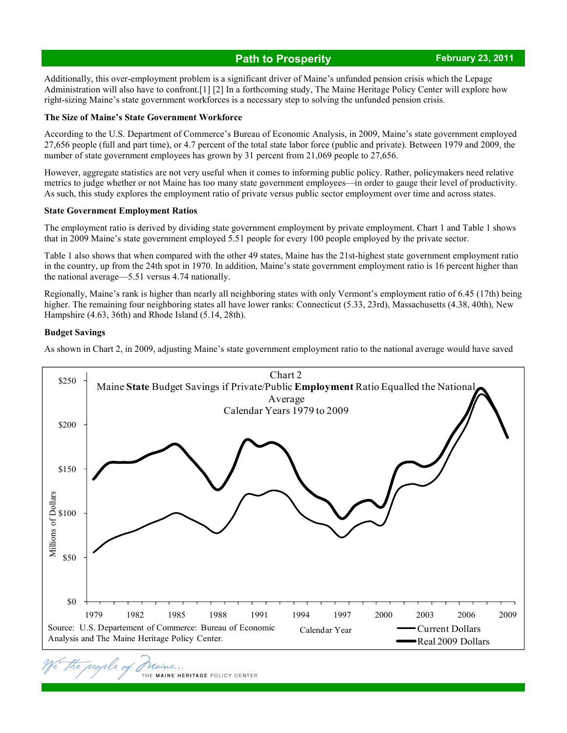#### **Path to Prosperity** *CONDER 23, 2011 February 23, 2011*

Additionally, this over-employment problem is a significant driver of Maine's unfunded pension crisis which the Lepage Administration will also have to confront.[1] [2] In a forthcoming study, The Maine Heritage Policy Center will explore how right-sizing Maine's state government workforces is a necessary step to solving the unfunded pension crisis.

#### **The Size of Maine's State Government Workforce**

According to the U.S. Department of Commerce's Bureau of Economic Analysis, in 2009, Maine's state government employed 27,656 people (full and part time), or 4.7 percent of the total state labor force (public and private). Between 1979 and 2009, the number of state government employees has grown by 31 percent from 21,069 people to 27,656.

However, aggregate statistics are not very useful when it comes to informing public policy. Rather, policymakers need relative metrics to judge whether or not Maine has too many state government employees—in order to gauge their level of productivity. As such, this study explores the employment ratio of private versus public sector employment over time and across states.

#### **State Government Employment Ratios**

The employment ratio is derived by dividing state government employment by private employment. Chart 1 and Table 1 shows that in 2009 Maine's state government employed 5.51 people for every 100 people employed by the private sector.

Table 1 also shows that when compared with the other 49 states, Maine has the 21st-highest state government employment ratio in the country, up from the 24th spot in 1970. In addition, Maine's state government employment ratio is 16 percent higher than the national average—5.51 versus 4.74 nationally.

Regionally, Maine's rank is higher than nearly all neighboring states with only Vermont's employment ratio of 6.45 (17th) being higher. The remaining four neighboring states all have lower ranks: Connecticut (5.33, 23rd), Massachusetts (4.38, 40th), New Hampshire (4.63, 36th) and Rhode Island (5.14, 28th).

#### **Budget Savings**

As shown in Chart 2, in 2009, adjusting Maine's state government employment ratio to the national average would have saved



THE MAINE HERITAGE POLICY CENTER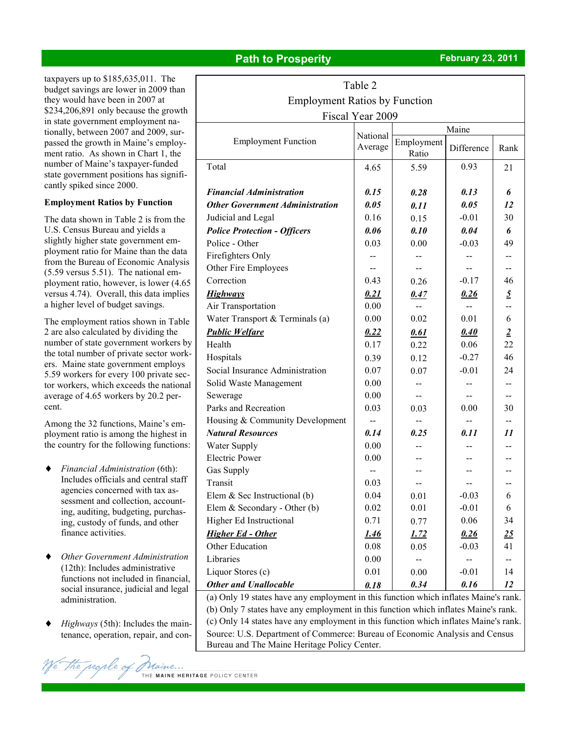## **Path to Prosperity** *CONDER <b>FE February* 23, 2011

taxpayers up to \$185,635,011. The budget savings are lower in 2009 than they would have been in 2007 at \$234,206,891 only because the growth in state government employment nationally, between 2007 and 2009, surpassed the growth in Maine's employment ratio. As shown in Chart 1, the number of Maine's taxpayer-funded state government positions has significantly spiked since 2000.

#### **Employment Ratios by Function**

The data shown in Table 2 is from the U.S. Census Bureau and yields a slightly higher state government employment ratio for Maine than the data from the Bureau of Economic Analysis (5.59 versus 5.51). The national employment ratio, however, is lower (4.65 versus 4.74). Overall, this data implies a higher level of budget savings.

The employment ratios shown in Table 2 are also calculated by dividing the number of state government workers by the total number of private sector workers. Maine state government employs 5.59 workers for every 100 private sector workers, which exceeds the national average of 4.65 workers by 20.2 percent.

Among the 32 functions, Maine's employment ratio is among the highest in the country for the following functions:

- ♦ *Financial Administration* (6th): Includes officials and central staff agencies concerned with tax assessment and collection, accounting, auditing, budgeting, purchasing, custody of funds, and other finance activities.
- *Other Government Administration* (12th): Includes administrative functions not included in financial, social insurance, judicial and legal administration.
- *Highways* (5th): Includes the maintenance, operation, repair, and con-

| Table 2                                                                              |                     |                     |                |                |  |  |  |  |
|--------------------------------------------------------------------------------------|---------------------|---------------------|----------------|----------------|--|--|--|--|
| <b>Employment Ratios by Function</b>                                                 |                     |                     |                |                |  |  |  |  |
| Fiscal Year 2009                                                                     |                     |                     |                |                |  |  |  |  |
|                                                                                      | National<br>Average | Maine               |                |                |  |  |  |  |
| <b>Employment Function</b>                                                           |                     | Employment<br>Ratio | Difference     | Rank           |  |  |  |  |
| Total                                                                                | 4.65                | 5.59                | 0.93           | 21             |  |  |  |  |
| <b>Financial Administration</b>                                                      | 0.15                | 0.28                | 0.13           | 6              |  |  |  |  |
| <b>Other Government Administration</b>                                               | 0.05                | 0.11                | 0.05           | 12             |  |  |  |  |
| Judicial and Legal                                                                   | 0.16                | 0.15                | $-0.01$        | 30             |  |  |  |  |
| <b>Police Protection - Officers</b>                                                  | 0.06                | 0.10                | 0.04           | 6              |  |  |  |  |
| Police - Other                                                                       | 0.03                | 0.00                | $-0.03$        | 49             |  |  |  |  |
| Firefighters Only                                                                    | --                  |                     |                | --             |  |  |  |  |
| Other Fire Employees                                                                 | $-$                 |                     |                | --             |  |  |  |  |
| Correction                                                                           | 0.43                | 0.26                | $-0.17$        | 46             |  |  |  |  |
| <b>Highways</b>                                                                      | 0.21                | 0.47                | 0.26           | $\overline{2}$ |  |  |  |  |
| Air Transportation                                                                   | 0.00                | $\sim$              | $\overline{a}$ | --             |  |  |  |  |
| Water Transport & Terminals (a)                                                      | 0.00                | 0.02                | 0.01           | 6              |  |  |  |  |
| <b>Public Welfare</b>                                                                | 0.22                | 0.61                | 0.40           | $\overline{2}$ |  |  |  |  |
| Health                                                                               | 0.17                | 0.22                | 0.06           | 22             |  |  |  |  |
| Hospitals                                                                            | 0.39                | 0.12                | $-0.27$        | 46             |  |  |  |  |
| Social Insurance Administration                                                      | 0.07                | 0.07                | $-0.01$        | 24             |  |  |  |  |
| Solid Waste Management                                                               | 0.00                |                     |                |                |  |  |  |  |
| Sewerage                                                                             | 0.00                | --                  | $-$            | $- -$          |  |  |  |  |
| Parks and Recreation                                                                 | 0.03                | 0.03                | 0.00           | 30             |  |  |  |  |
| Housing & Community Development                                                      | --                  | $-$                 |                |                |  |  |  |  |
| <b>Natural Resources</b>                                                             | 0.14                | 0.25                | 0.11           | 11             |  |  |  |  |
| Water Supply                                                                         | 0.00                |                     |                |                |  |  |  |  |
| <b>Electric Power</b>                                                                | 0.00                |                     |                |                |  |  |  |  |
| Gas Supply                                                                           |                     |                     |                |                |  |  |  |  |
| Transit                                                                              | 0.03                |                     |                |                |  |  |  |  |
| Elem $&$ Sec Instructional (b)                                                       | 0.04                | 0.01                | $-0.03$        | 6              |  |  |  |  |
| Elem & Secondary - Other $(b)$                                                       | 0.02                | 0.01                | $-0.01$        | 6              |  |  |  |  |
| Higher Ed Instructional                                                              | 0.71                | 0.77                | 0.06           | 34             |  |  |  |  |
| <b>Higher Ed - Other</b>                                                             | <u>1.46</u>         | <u>1.72</u>         | 0.26           | 25             |  |  |  |  |
| Other Education                                                                      | 0.08                | 0.05                | $-0.03$        | 41             |  |  |  |  |
| Libraries                                                                            | 0.00                |                     |                |                |  |  |  |  |
| Liquor Stores (c)                                                                    | 0.01                | 0.00                | $-0.01$        | 14             |  |  |  |  |
| <b>Other and Unallocable</b>                                                         | 0.18                | 0.34                | 0.16           | 12             |  |  |  |  |
| (a) Only 19 states have any employment in this function which inflates Maine's rank. |                     |                     |                |                |  |  |  |  |
| (b) Only 7 states have any employment in this function which inflates Maine's rank.  |                     |                     |                |                |  |  |  |  |

(c) Only 14 states have any employment in this function which inflates Maine's rank. Source: U.S. Department of Commerce: Bureau of Economic Analysis and Census Bureau and The Maine Heritage Policy Center.

We the regre of Ma THE MAINE HERITAGE POLICY CENTER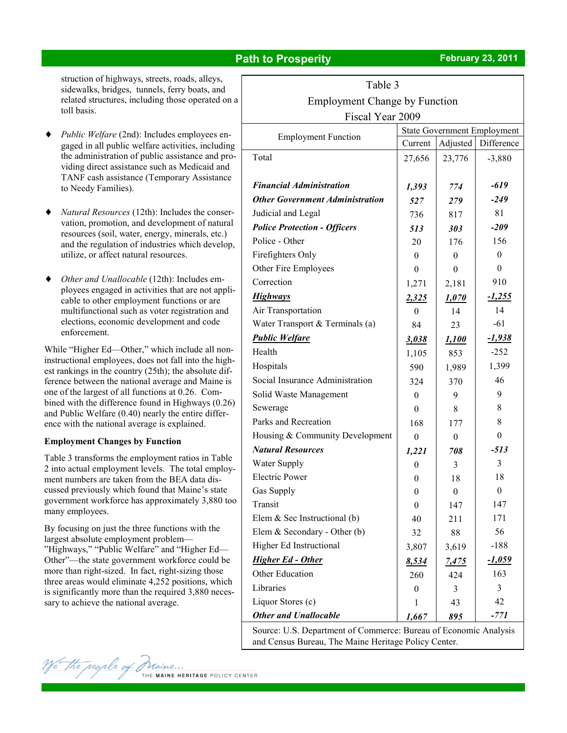### **Path to Prosperity** *CONDER <b>PATH* **February 23, 2011**

struction of highways, streets, roads, alleys, sidewalks, bridges, tunnels, ferry boats, and related structures, including those operated on a toll basis.

- *Public Welfare* (2nd): Includes employees engaged in all public welfare activities, including the administration of public assistance and providing direct assistance such as Medicaid and TANF cash assistance (Temporary Assistance to Needy Families).
- Natural Resources (12th): Includes the conservation, promotion, and development of natural resources (soil, water, energy, minerals, etc.) and the regulation of industries which develop, utilize, or affect natural resources.
- *Other and Unallocable* (12th): Includes employees engaged in activities that are not applicable to other employment functions or are multifunctional such as voter registration and elections, economic development and code enforcement.

While "Higher Ed—Other," which include all noninstructional employees, does not fall into the highest rankings in the country (25th); the absolute difference between the national average and Maine is one of the largest of all functions at 0.26. Combined with the difference found in Highways (0.26) and Public Welfare (0.40) nearly the entire difference with the national average is explained.

#### **Employment Changes by Function**

Table 3 transforms the employment ratios in Table 2 into actual employment levels. The total employment numbers are taken from the BEA data discussed previously which found that Maine's state government workforce has approximately 3,880 too many employees.

By focusing on just the three functions with the largest absolute employment problem— "Highways," "Public Welfare" and "Higher Ed— Other"—the state government workforce could be more than right-sized. In fact, right-sizing those three areas would eliminate 4,252 positions, which is significantly more than the required 3,880 necessary to achieve the national average.

| t able                                                           |                                    |                  |                |  |  |  |
|------------------------------------------------------------------|------------------------------------|------------------|----------------|--|--|--|
| <b>Employment Change by Function</b>                             |                                    |                  |                |  |  |  |
| Fiscal Year 2009                                                 |                                    |                  |                |  |  |  |
| <b>Employment Function</b>                                       | <b>State Government Employment</b> |                  |                |  |  |  |
|                                                                  | Current                            | Adjusted         | Difference     |  |  |  |
| Total                                                            | 27,656                             | 23,776           | $-3,880$       |  |  |  |
| <b>Financial Administration</b>                                  |                                    |                  | -619           |  |  |  |
|                                                                  | 1,393                              | 774              |                |  |  |  |
| <b>Other Government Administration</b>                           | 527                                | 279              | $-249$         |  |  |  |
| Judicial and Legal                                               | 736                                | 817              | 81             |  |  |  |
| <b>Police Protection - Officers</b>                              | 513                                | 303              | $-209$         |  |  |  |
| Police - Other                                                   | 20                                 | 176              | 156            |  |  |  |
| Firefighters Only                                                | $\theta$                           | 0                | $\Omega$       |  |  |  |
| Other Fire Employees                                             | $\Omega$                           | 0                | $\theta$       |  |  |  |
| Correction                                                       | 1,271                              | 2,181            | 910            |  |  |  |
| <b>Highways</b>                                                  | 2,325                              | 1,070            | <u>-1,255</u>  |  |  |  |
| Air Transportation                                               | $\theta$                           | 14               | 14             |  |  |  |
| Water Transport & Terminals (a)                                  | 84                                 | 23               | $-61$          |  |  |  |
| <b>Public Welfare</b>                                            | 3,038                              | 1,100            | $-1,938$       |  |  |  |
| Health                                                           | 1,105                              | 853              | $-252$         |  |  |  |
| Hospitals                                                        | 590                                | 1,989            | 1,399          |  |  |  |
| Social Insurance Administration                                  | 324                                | 370              | 46             |  |  |  |
| Solid Waste Management                                           | $\theta$                           | 9                | 9              |  |  |  |
| Sewerage                                                         | $\theta$                           | 8                | 8              |  |  |  |
| Parks and Recreation                                             | 168                                | 177              | 8              |  |  |  |
| Housing & Community Development                                  | $\theta$                           | $\theta$         | $\theta$       |  |  |  |
| <b>Natural Resources</b>                                         | 1,221                              | 708              | $-513$         |  |  |  |
| Water Supply                                                     | $\theta$                           | 3                | 3              |  |  |  |
| <b>Electric Power</b>                                            | $\theta$                           | 18               | 18             |  |  |  |
| Gas Supply                                                       | $\boldsymbol{0}$                   | $\boldsymbol{0}$ | $\overline{0}$ |  |  |  |
| Transit                                                          | $\boldsymbol{0}$                   | 147              | 147            |  |  |  |
| Elem $&$ Sec Instructional (b)                                   | 40                                 | 211              | 171            |  |  |  |
| Elem & Secondary - Other $(b)$                                   | 32                                 | 88               | 56             |  |  |  |
| Higher Ed Instructional                                          | 3,807                              | 3,619            | $-188$         |  |  |  |
| <b>Higher Ed - Other</b>                                         | 8,534                              | <u>7,475</u>     | <u>-1,059</u>  |  |  |  |
| Other Education                                                  | 260                                | 424              | 163            |  |  |  |
| Libraries                                                        | $\boldsymbol{0}$                   | 3                | 3              |  |  |  |
| Liquor Stores (c)                                                | 1                                  | 43               | 42             |  |  |  |
| <b>Other and Unallocable</b>                                     | 1,667                              | 895              | -771           |  |  |  |
| Source: U.S. Department of Commerce: Bureau of Economic Analysis |                                    |                  |                |  |  |  |

 $T<sub>1</sub>$ 

and Census Bureau, The Maine Heritage Policy Center.